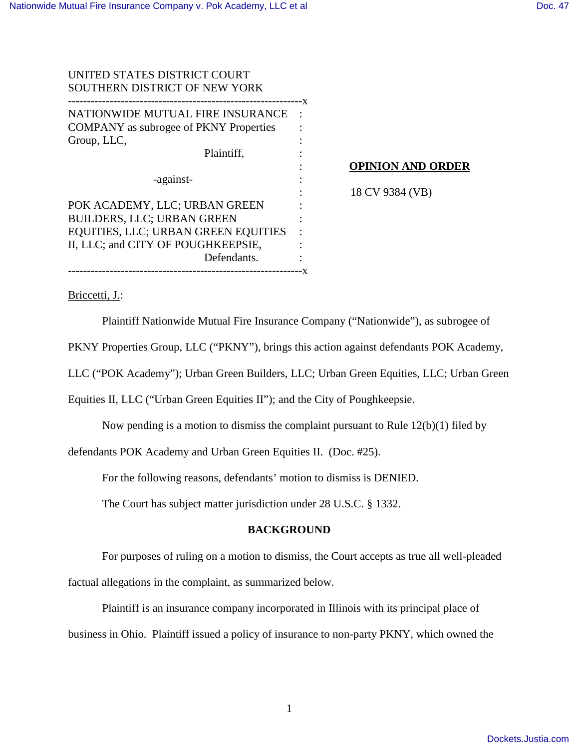| UNITED STATES DISTRICT COURT                       |     |
|----------------------------------------------------|-----|
| SOUTHERN DISTRICT OF NEW YORK                      |     |
| -------------X<br>NATIONWIDE MUTUAL FIRE INSURANCE |     |
| <b>COMPANY</b> as subrogee of PKNY Properties      |     |
| Group, LLC,                                        |     |
| Plaintiff.                                         |     |
|                                                    |     |
| -against-                                          |     |
|                                                    |     |
| POK ACADEMY, LLC; URBAN GREEN                      |     |
| <b>BUILDERS, LLC; URBAN GREEN</b>                  |     |
| EQUITIES, LLC; URBAN GREEN EQUITIES                |     |
| II, LLC; and CITY OF POUGHKEEPSIE,                 |     |
| Defendants.                                        |     |
| -----------                                        | - X |

#### **OPINION AND ORDER**

18 CV 9384 (VB)

Briccetti, J.:

Plaintiff Nationwide Mutual Fire Insurance Company ("Nationwide"), as subrogee of

PKNY Properties Group, LLC ("PKNY"), brings this action against defendants POK Academy,

LLC ("POK Academy"); Urban Green Builders, LLC; Urban Green Equities, LLC; Urban Green

Equities II, LLC ("Urban Green Equities II"); and the City of Poughkeepsie.

Now pending is a motion to dismiss the complaint pursuant to Rule 12(b)(1) filed by

defendants POK Academy and Urban Green Equities II. (Doc. #25).

For the following reasons, defendants' motion to dismiss is DENIED.

The Court has subject matter jurisdiction under 28 U.S.C. § 1332.

#### **BACKGROUND**

 For purposes of ruling on a motion to dismiss, the Court accepts as true all well-pleaded factual allegations in the complaint, as summarized below.

Plaintiff is an insurance company incorporated in Illinois with its principal place of business in Ohio. Plaintiff issued a policy of insurance to non-party PKNY, which owned the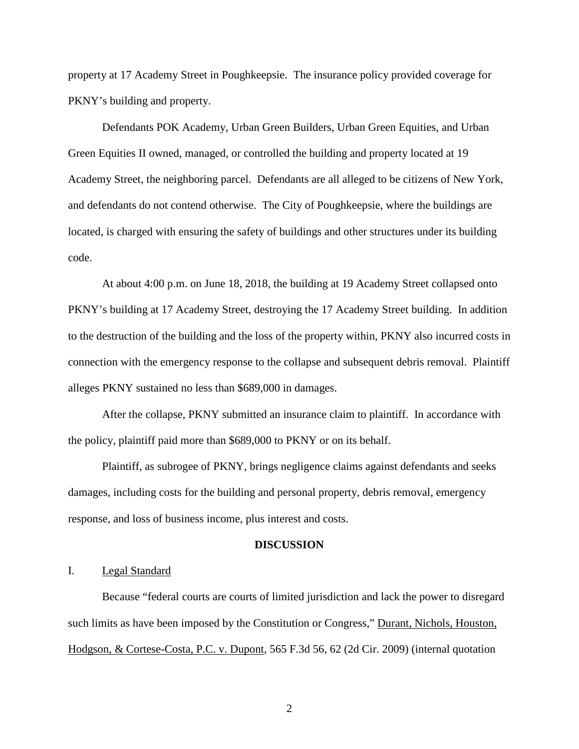property at 17 Academy Street in Poughkeepsie. The insurance policy provided coverage for PKNY's building and property.

Defendants POK Academy, Urban Green Builders, Urban Green Equities, and Urban Green Equities II owned, managed, or controlled the building and property located at 19 Academy Street, the neighboring parcel. Defendants are all alleged to be citizens of New York, and defendants do not contend otherwise. The City of Poughkeepsie, where the buildings are located, is charged with ensuring the safety of buildings and other structures under its building code.

At about 4:00 p.m. on June 18, 2018, the building at 19 Academy Street collapsed onto PKNY's building at 17 Academy Street, destroying the 17 Academy Street building. In addition to the destruction of the building and the loss of the property within, PKNY also incurred costs in connection with the emergency response to the collapse and subsequent debris removal. Plaintiff alleges PKNY sustained no less than \$689,000 in damages.

After the collapse, PKNY submitted an insurance claim to plaintiff. In accordance with the policy, plaintiff paid more than \$689,000 to PKNY or on its behalf.

Plaintiff, as subrogee of PKNY, brings negligence claims against defendants and seeks damages, including costs for the building and personal property, debris removal, emergency response, and loss of business income, plus interest and costs.

#### **DISCUSSION**

## I. Legal Standard

Because "federal courts are courts of limited jurisdiction and lack the power to disregard such limits as have been imposed by the Constitution or Congress," Durant, Nichols, Houston, Hodgson, & Cortese-Costa, P.C. v. Dupont, 565 F.3d 56, 62 (2d Cir. 2009) (internal quotation

2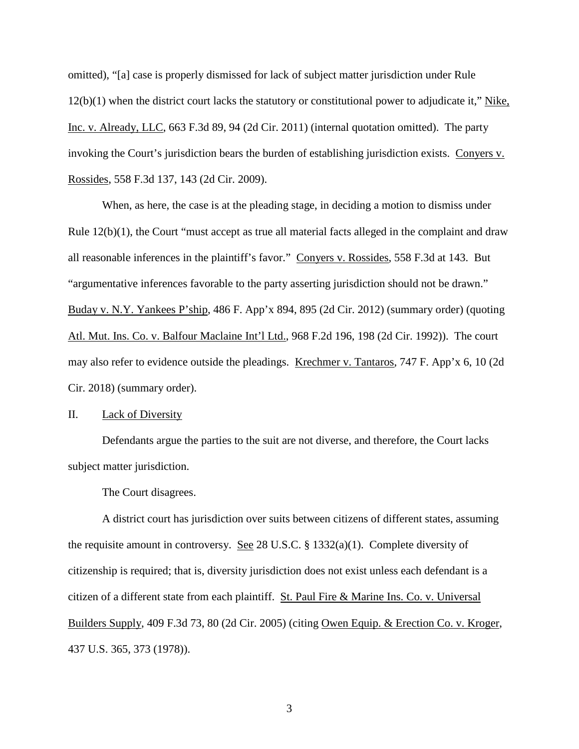omitted), "[a] case is properly dismissed for lack of subject matter jurisdiction under Rule 12(b)(1) when the district court lacks the statutory or constitutional power to adjudicate it," Nike, Inc. v. Already, LLC, 663 F.3d 89, 94 (2d Cir. 2011) (internal quotation omitted). The party invoking the Court's jurisdiction bears the burden of establishing jurisdiction exists. Conyers v. Rossides, 558 F.3d 137, 143 (2d Cir. 2009).

When, as here, the case is at the pleading stage, in deciding a motion to dismiss under Rule 12(b)(1), the Court "must accept as true all material facts alleged in the complaint and draw all reasonable inferences in the plaintiff's favor." Conyers v. Rossides, 558 F.3d at 143. But "argumentative inferences favorable to the party asserting jurisdiction should not be drawn." Buday v. N.Y. Yankees P'ship, 486 F. App'x 894, 895 (2d Cir. 2012) (summary order) (quoting Atl. Mut. Ins. Co. v. Balfour Maclaine Int'l Ltd., 968 F.2d 196, 198 (2d Cir. 1992)). The court may also refer to evidence outside the pleadings. Krechmer v. Tantaros, 747 F. App'x 6, 10 (2d Cir. 2018) (summary order).

II. Lack of Diversity

Defendants argue the parties to the suit are not diverse, and therefore, the Court lacks subject matter jurisdiction.

The Court disagrees.

A district court has jurisdiction over suits between citizens of different states, assuming the requisite amount in controversy. See 28 U.S.C. § 1332(a)(1). Complete diversity of citizenship is required; that is, diversity jurisdiction does not exist unless each defendant is a citizen of a different state from each plaintiff. St. Paul Fire & Marine Ins. Co. v. Universal Builders Supply, 409 F.3d 73, 80 (2d Cir. 2005) (citing Owen Equip. & Erection Co. v. Kroger, 437 U.S. 365, 373 (1978)).

3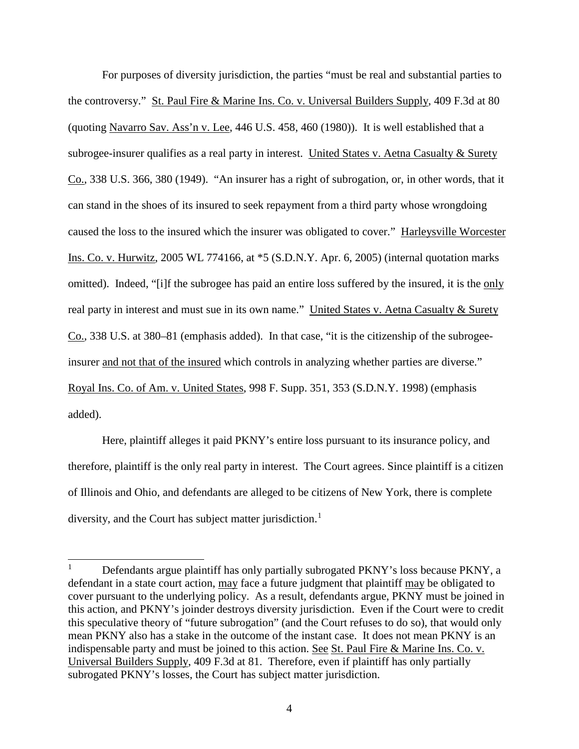For purposes of diversity jurisdiction, the parties "must be real and substantial parties to the controversy." St. Paul Fire & Marine Ins. Co. v. Universal Builders Supply, 409 F.3d at 80 (quoting Navarro Sav. Ass'n v. Lee, 446 U.S. 458, 460 (1980)). It is well established that a subrogee-insurer qualifies as a real party in interest. United States v. Aetna Casualty & Surety Co., 338 U.S. 366, 380 (1949). "An insurer has a right of subrogation, or, in other words, that it can stand in the shoes of its insured to seek repayment from a third party whose wrongdoing caused the loss to the insured which the insurer was obligated to cover." Harleysville Worcester Ins. Co. v. Hurwitz, 2005 WL 774166, at \*5 (S.D.N.Y. Apr. 6, 2005) (internal quotation marks omitted). Indeed, "[i]f the subrogee has paid an entire loss suffered by the insured, it is the only real party in interest and must sue in its own name." United States v. Aetna Casualty & Surety Co., 338 U.S. at 380–81 (emphasis added). In that case, "it is the citizenship of the subrogeeinsurer and not that of the insured which controls in analyzing whether parties are diverse." Royal Ins. Co. of Am. v. United States, 998 F. Supp. 351, 353 (S.D.N.Y. 1998) (emphasis added).

Here, plaintiff alleges it paid PKNY's entire loss pursuant to its insurance policy, and therefore, plaintiff is the only real party in interest. The Court agrees. Since plaintiff is a citizen of Illinois and Ohio, and defendants are alleged to be citizens of New York, there is complete diversity, and the Court has subject matter jurisdiction.<sup>[1](#page-3-0)</sup>

1

<span id="page-3-0"></span><sup>1</sup> Defendants argue plaintiff has only partially subrogated PKNY's loss because PKNY, a defendant in a state court action, may face a future judgment that plaintiff may be obligated to cover pursuant to the underlying policy. As a result, defendants argue, PKNY must be joined in this action, and PKNY's joinder destroys diversity jurisdiction. Even if the Court were to credit this speculative theory of "future subrogation" (and the Court refuses to do so), that would only mean PKNY also has a stake in the outcome of the instant case. It does not mean PKNY is an indispensable party and must be joined to this action. See St. Paul Fire & Marine Ins. Co. v. Universal Builders Supply, 409 F.3d at 81. Therefore, even if plaintiff has only partially subrogated PKNY's losses, the Court has subject matter jurisdiction.